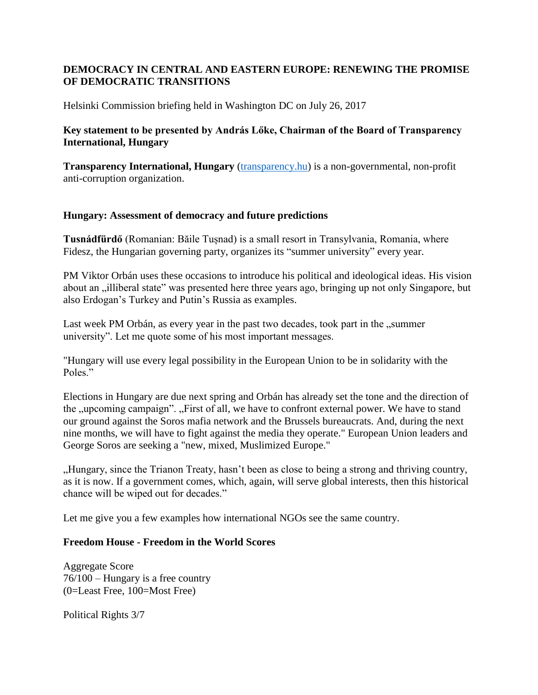# **DEMOCRACY IN CENTRAL AND EASTERN EUROPE: RENEWING THE PROMISE OF DEMOCRATIC TRANSITIONS**

Helsinki Commission briefing held in Washington DC on July 26, 2017

## **Key statement to be presented by András Lőke, Chairman of the Board of Transparency International, Hungary**

**Transparency International, Hungary** [\(transparency.hu\)](https://urldefense.proofpoint.com/v2/url?u=http-3A__transparency.hu&d=DQMFaQ&c=euGZstcaTDllvimEN8b7jXrwqOf-v5A_CdpgnVfiiMM&r=QyLSaViuXd-m80gaeELHuJ0l-gfcajgf9BHJDO0IRkA&m=zxn5kKlARfRgEgE2VYbeqfs2yB8Po30ORAaiut1LQxM&s=lRDYeuTFCZmuWoHpPL3pM-iL0NOl-TNLNpUyRySivnc&e=) is a non-governmental, non-profit anti-corruption organization.

# **Hungary: Assessment of democracy and future predictions**

**Tusnádfürdő** (Romanian: Băile Tușnad) is a small resort in Transylvania, Romania, where Fidesz, the Hungarian governing party, organizes its "summer university" every year.

PM Viktor Orbán uses these occasions to introduce his political and ideological ideas. His vision about an "illiberal state" was presented here three years ago, bringing up not only Singapore, but also Erdogan's Turkey and Putin's Russia as examples.

Last week PM Orbán, as every year in the past two decades, took part in the "summer university". Let me quote some of his most important messages.

"Hungary will use every legal possibility in the European Union to be in solidarity with the Poles."

Elections in Hungary are due next spring and Orbán has already set the tone and the direction of the "upcoming campaign". "First of all, we have to confront external power. We have to stand our ground against the Soros mafia network and the Brussels bureaucrats. And, during the next nine months, we will have to fight against the media they operate." European Union leaders and George Soros are seeking a "new, mixed, Muslimized Europe."

"Hungary, since the Trianon Treaty, hasn't been as close to being a strong and thriving country, as it is now. If a government comes, which, again, will serve global interests, then this historical chance will be wiped out for decades."

Let me give you a few examples how international NGOs see the same country.

#### **Freedom House - Freedom in the World Scores**

Aggregate Score 76/100 – Hungary is a free country (0=Least Free, 100=Most Free)

Political Rights 3/7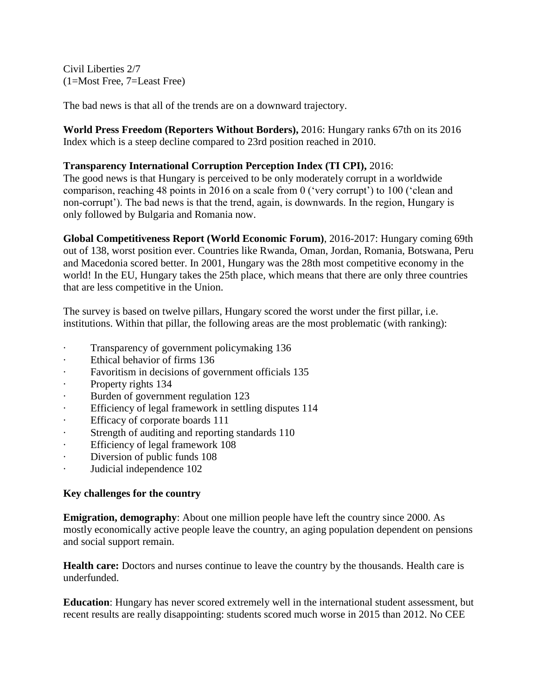Civil Liberties 2/7 (1=Most Free, 7=Least Free)

The bad news is that all of the trends are on a downward trajectory.

**World Press Freedom (Reporters Without Borders),** 2016: Hungary ranks 67th on its 2016 Index which is a steep decline compared to 23rd position reached in 2010.

## **Transparency International Corruption Perception Index (TI CPI),** 2016:

The good news is that Hungary is perceived to be only moderately corrupt in a worldwide comparison, reaching 48 points in 2016 on a scale from 0 ('very corrupt') to 100 ('clean and non-corrupt'). The bad news is that the trend, again, is downwards. In the region, Hungary is only followed by Bulgaria and Romania now.

**Global Competitiveness Report (World Economic Forum)**, 2016-2017: Hungary coming 69th out of 138, worst position ever. Countries like Rwanda, Oman, Jordan, Romania, Botswana, Peru and Macedonia scored better. In 2001, Hungary was the 28th most competitive economy in the world! In the EU, Hungary takes the 25th place, which means that there are only three countries that are less competitive in the Union.

The survey is based on twelve pillars, Hungary scored the worst under the first pillar, i.e. institutions. Within that pillar, the following areas are the most problematic (with ranking):

- · Transparency of government policymaking 136
- Ethical behavior of firms 136
- · Favoritism in decisions of government officials 135
- · Property rights 134
- Burden of government regulation 123
- · Efficiency of legal framework in settling disputes 114
- · Efficacy of corporate boards 111
- · Strength of auditing and reporting standards 110
- Efficiency of legal framework 108
- Diversion of public funds 108
- · Judicial independence 102

#### **Key challenges for the country**

**Emigration, demography:** About one million people have left the country since 2000. As mostly economically active people leave the country, an aging population dependent on pensions and social support remain.

**Health care:** Doctors and nurses continue to leave the country by the thousands. Health care is underfunded.

**Education**: Hungary has never scored extremely well in the international student assessment, but recent results are really disappointing: students scored much worse in 2015 than 2012. No CEE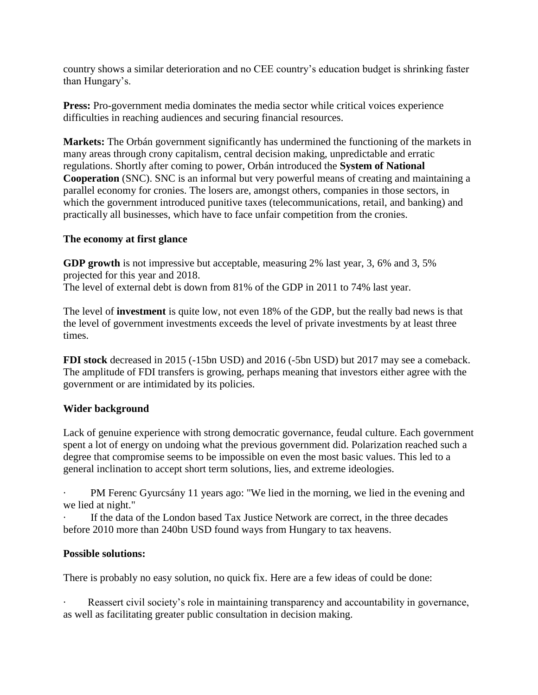country shows a similar deterioration and no CEE country's education budget is shrinking faster than Hungary's.

**Press:** Pro-government media dominates the media sector while critical voices experience difficulties in reaching audiences and securing financial resources.

**Markets:** The Orbán government significantly has undermined the functioning of the markets in many areas through crony capitalism, central decision making, unpredictable and erratic regulations. Shortly after coming to power, Orbán introduced the **System of National Cooperation** (SNC). SNC is an informal but very powerful means of creating and maintaining a parallel economy for cronies. The losers are, amongst others, companies in those sectors, in which the government introduced punitive taxes (telecommunications, retail, and banking) and practically all businesses, which have to face unfair competition from the cronies.

# **The economy at first glance**

**GDP growth** is not impressive but acceptable, measuring 2% last year, 3, 6% and 3, 5% projected for this year and 2018.

The level of external debt is down from 81% of the GDP in 2011 to 74% last year.

The level of **investment** is quite low, not even 18% of the GDP, but the really bad news is that the level of government investments exceeds the level of private investments by at least three times.

**FDI stock** decreased in 2015 (-15bn USD) and 2016 (-5bn USD) but 2017 may see a comeback. The amplitude of FDI transfers is growing, perhaps meaning that investors either agree with the government or are intimidated by its policies.

# **Wider background**

Lack of genuine experience with strong democratic governance, feudal culture. Each government spent a lot of energy on undoing what the previous government did. Polarization reached such a degree that compromise seems to be impossible on even the most basic values. This led to a general inclination to accept short term solutions, lies, and extreme ideologies.

PM Ferenc Gyurcsány 11 years ago: "We lied in the morning, we lied in the evening and we lied at night."

If the data of the London based Tax Justice Network are correct, in the three decades before 2010 more than 240bn USD found ways from Hungary to tax heavens.

# **Possible solutions:**

There is probably no easy solution, no quick fix. Here are a few ideas of could be done:

Reassert civil society's role in maintaining transparency and accountability in governance, as well as facilitating greater public consultation in decision making.